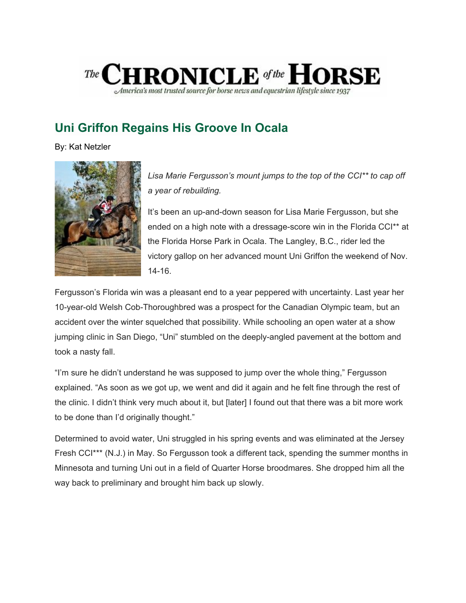

## **Uni Griffon Regains His Groove In Ocala**

By: Kat Netzler



*Lisa Marie Fergusson's mount jumps to the top of the CCI\*\* to cap off a year of rebuilding.*

It's been an up-and-down season for Lisa Marie Fergusson, but she ended on a high note with a dressage-score win in the Florida CCI\*\* at the Florida Horse Park in Ocala. The Langley, B.C., rider led the victory gallop on her advanced mount Uni Griffon the weekend of Nov. 14-16.

Fergusson's Florida win was a pleasant end to a year peppered with uncertainty. Last year her 10-year-old Welsh Cob-Thoroughbred was a prospect for the Canadian Olympic team, but an accident over the winter squelched that possibility. While schooling an open water at a show jumping clinic in San Diego, "Uni" stumbled on the deeply-angled pavement at the bottom and took a nasty fall.

"I'm sure he didn't understand he was supposed to jump over the whole thing," Fergusson explained. "As soon as we got up, we went and did it again and he felt fine through the rest of the clinic. I didn't think very much about it, but [later] I found out that there was a bit more work to be done than I'd originally thought."

Determined to avoid water, Uni struggled in his spring events and was eliminated at the Jersey Fresh CCI\*\*\* (N.J.) in May. So Fergusson took a different tack, spending the summer months in Minnesota and turning Uni out in a field of Quarter Horse broodmares. She dropped him all the way back to preliminary and brought him back up slowly.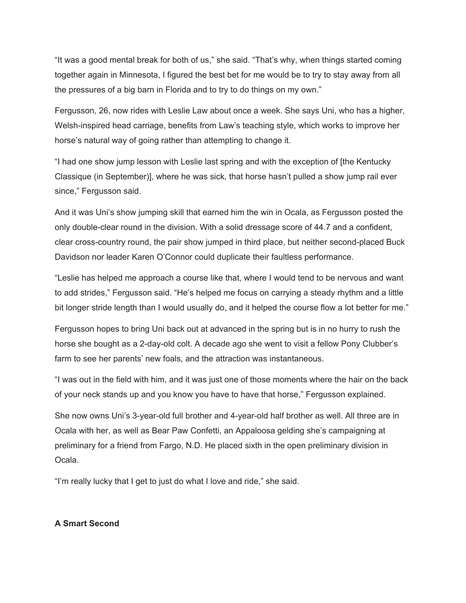"It was a good mental break for both of us," she said. "That's why, when things started coming together again in Minnesota, I figured the best bet for me would be to try to stay away from all the pressures of a big barn in Florida and to try to do things on my own."

Fergusson, 26, now rides with Leslie Law about once a week. She says Uni, who has a higher, Welsh-inspired head carriage, benefits from Law's teaching style, which works to improve her horse's natural way of going rather than attempting to change it.

"I had one show jump lesson with Leslie last spring and with the exception of [the Kentucky Classique (in September)], where he was sick, that horse hasn't pulled a show jump rail ever since," Fergusson said.

And it was Uni's show jumping skill that earned him the win in Ocala, as Fergusson posted the only double-clear round in the division. With a solid dressage score of 44.7 and a confident, clear cross-country round, the pair show jumped in third place, but neither second-placed Buck Davidson nor leader Karen O'Connor could duplicate their faultless performance.

"Leslie has helped me approach a course like that, where I would tend to be nervous and want to add strides," Fergusson said. "He's helped me focus on carrying a steady rhythm and a little bit longer stride length than I would usually do, and it helped the course flow a lot better for me."

Fergusson hopes to bring Uni back out at advanced in the spring but is in no hurry to rush the horse she bought as a 2-day-old colt. A decade ago she went to visit a fellow Pony Clubber's farm to see her parents' new foals, and the attraction was instantaneous.

"I was out in the field with him, and it was just one of those moments where the hair on the back of your neck stands up and you know you have to have that horse," Fergusson explained.

She now owns Uni's 3-year-old full brother and 4-year-old half brother as well. All three are in Ocala with her, as well as Bear Paw Confetti, an Appaloosa gelding she's campaigning at preliminary for a friend from Fargo, N.D. He placed sixth in the open preliminary division in Ocala.

"I'm really lucky that I get to just do what I love and ride," she said.

## **A Smart Second**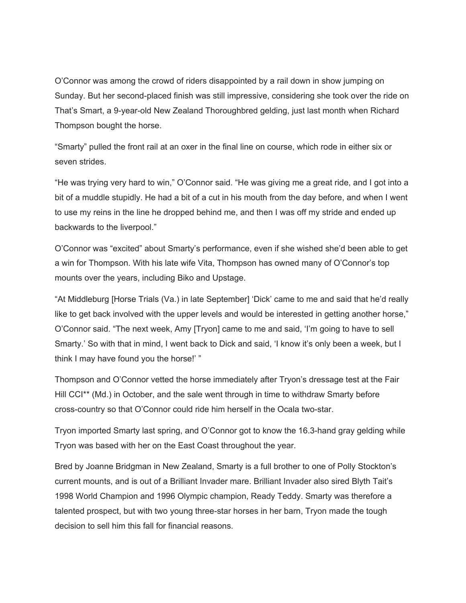O'Connor was among the crowd of riders disappointed by a rail down in show jumping on Sunday. But her second-placed finish was still impressive, considering she took over the ride on That's Smart, a 9-year-old New Zealand Thoroughbred gelding, just last month when Richard Thompson bought the horse.

"Smarty" pulled the front rail at an oxer in the final line on course, which rode in either six or seven strides.

"He was trying very hard to win," O'Connor said. "He was giving me a great ride, and I got into a bit of a muddle stupidly. He had a bit of a cut in his mouth from the day before, and when I went to use my reins in the line he dropped behind me, and then I was off my stride and ended up backwards to the liverpool."

O'Connor was "excited" about Smarty's performance, even if she wished she'd been able to get a win for Thompson. With his late wife Vita, Thompson has owned many of O'Connor's top mounts over the years, including Biko and Upstage.

"At Middleburg [Horse Trials (Va.) in late September] 'Dick' came to me and said that he'd really like to get back involved with the upper levels and would be interested in getting another horse," O'Connor said. "The next week, Amy [Tryon] came to me and said, 'I'm going to have to sell Smarty.' So with that in mind, I went back to Dick and said, 'I know it's only been a week, but I think I may have found you the horse!' "

Thompson and O'Connor vetted the horse immediately after Tryon's dressage test at the Fair Hill CCI\*\* (Md.) in October, and the sale went through in time to withdraw Smarty before cross-country so that O'Connor could ride him herself in the Ocala two-star.

Tryon imported Smarty last spring, and O'Connor got to know the 16.3-hand gray gelding while Tryon was based with her on the East Coast throughout the year.

Bred by Joanne Bridgman in New Zealand, Smarty is a full brother to one of Polly Stockton's current mounts, and is out of a Brilliant Invader mare. Brilliant Invader also sired Blyth Tait's 1998 World Champion and 1996 Olympic champion, Ready Teddy. Smarty was therefore a talented prospect, but with two young three-star horses in her barn, Tryon made the tough decision to sell him this fall for financial reasons.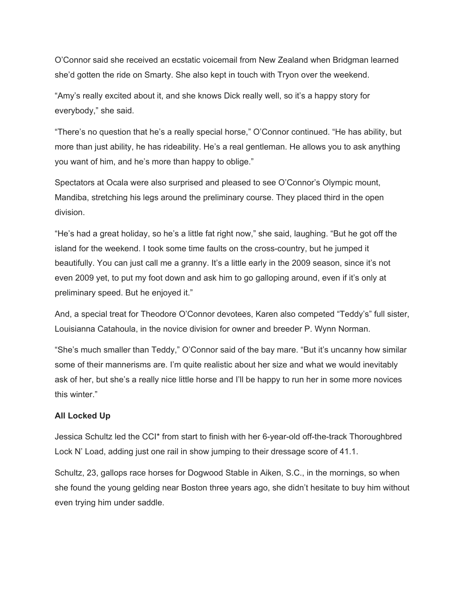O'Connor said she received an ecstatic voicemail from New Zealand when Bridgman learned she'd gotten the ride on Smarty. She also kept in touch with Tryon over the weekend.

"Amy's really excited about it, and she knows Dick really well, so it's a happy story for everybody," she said.

"There's no question that he's a really special horse," O'Connor continued. "He has ability, but more than just ability, he has rideability. He's a real gentleman. He allows you to ask anything you want of him, and he's more than happy to oblige."

Spectators at Ocala were also surprised and pleased to see O'Connor's Olympic mount, Mandiba, stretching his legs around the preliminary course. They placed third in the open division.

"He's had a great holiday, so he's a little fat right now," she said, laughing. "But he got off the island for the weekend. I took some time faults on the cross-country, but he jumped it beautifully. You can just call me a granny. It's a little early in the 2009 season, since it's not even 2009 yet, to put my foot down and ask him to go galloping around, even if it's only at preliminary speed. But he enjoyed it."

And, a special treat for Theodore O'Connor devotees, Karen also competed "Teddy's" full sister, Louisianna Catahoula, in the novice division for owner and breeder P. Wynn Norman.

"She's much smaller than Teddy," O'Connor said of the bay mare. "But it's uncanny how similar some of their mannerisms are. I'm quite realistic about her size and what we would inevitably ask of her, but she's a really nice little horse and I'll be happy to run her in some more novices this winter."

## **All Locked Up**

Jessica Schultz led the CCI\* from start to finish with her 6-year-old off-the-track Thoroughbred Lock N' Load, adding just one rail in show jumping to their dressage score of 41.1.

Schultz, 23, gallops race horses for Dogwood Stable in Aiken, S.C., in the mornings, so when she found the young gelding near Boston three years ago, she didn't hesitate to buy him without even trying him under saddle.